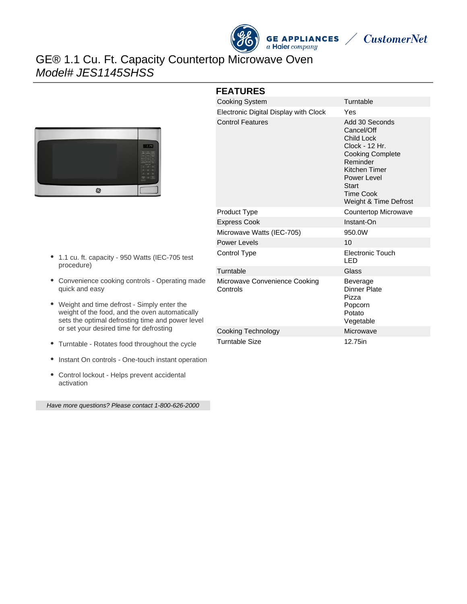



# GE® 1.1 Cu. Ft. Capacity Countertop Microwave Oven Model# JES1145SHSS





- 1.1 cu. ft. capacity 950 Watts (IEC-705 test procedure)
- Convenience cooking controls Operating made quick and easy
- Weight and time defrost Simply enter the weight of the food, and the oven automatically sets the optimal defrosting time and power level or set your desired time for defrosting
- Turntable Rotates food throughout the cycle
- Instant On controls One-touch instant operation
- Control lockout Helps prevent accidental activation

Have more questions? Please contact 1-800-626-2000

| <b>FEATURES</b>                           |                                                                                                                                                                                                  |
|-------------------------------------------|--------------------------------------------------------------------------------------------------------------------------------------------------------------------------------------------------|
| <b>Cooking System</b>                     | Turntable                                                                                                                                                                                        |
| Electronic Digital Display with Clock     | Yes                                                                                                                                                                                              |
| <b>Control Features</b>                   | Add 30 Seconds<br>Cancel/Off<br><b>Child Lock</b><br>Clock - 12 Hr.<br><b>Cooking Complete</b><br>Reminder<br>Kitchen Timer<br>Power Level<br>Start<br><b>Time Cook</b><br>Weight & Time Defrost |
| Product Type                              | Countertop Microwave                                                                                                                                                                             |
| <b>Express Cook</b>                       | Instant-On                                                                                                                                                                                       |
| Microwave Watts (IEC-705)                 | 950.0W                                                                                                                                                                                           |
| <b>Power Levels</b>                       | 10                                                                                                                                                                                               |
| Control Type                              | Electronic Touch<br>LED                                                                                                                                                                          |
| Turntable                                 | Glass                                                                                                                                                                                            |
| Microwave Convenience Cooking<br>Controls | Beverage<br><b>Dinner Plate</b><br>Pizza<br>Popcorn<br>Potato<br>Vegetable                                                                                                                       |
| Cooking Technology                        | Microwave                                                                                                                                                                                        |
| <b>Turntable Size</b>                     | 12.75in                                                                                                                                                                                          |